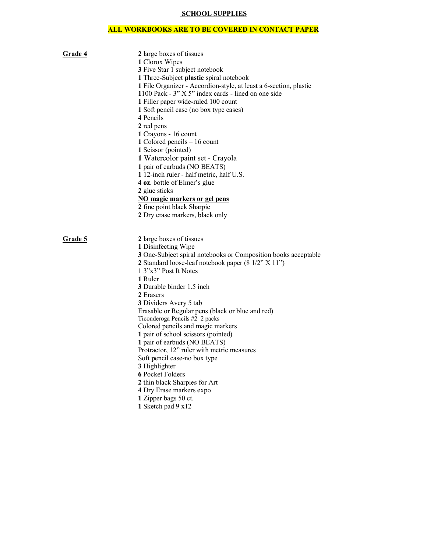## **SCHOOL SUPPLIES**

## **ALL WORKBOOKS ARE TO BE COVERED IN CONTACT PAPER**

| Grade 4 | 2 large boxes of tissues                                          |
|---------|-------------------------------------------------------------------|
|         | 1 Clorox Wipes                                                    |
|         | 3 Five Star 1 subject notebook                                    |
|         | 1 Three-Subject plastic spiral notebook                           |
|         | 1 File Organizer - Accordion-style, at least a 6-section, plastic |
|         | 1100 Pack - 3" X 5" index cards - lined on one side               |
|         | 1 Filler paper wide-ruled 100 count                               |
|         | 1 Soft pencil case (no box type cases)                            |
|         | 4 Pencils                                                         |
|         | 2 red pens                                                        |
|         | 1 Crayons - 16 count                                              |
|         | 1 Colored pencils – 16 count                                      |
|         | 1 Scissor (pointed)                                               |
|         | 1 Watercolor paint set - Crayola                                  |
|         | 1 pair of earbuds (NO BEATS)                                      |
|         | 1 12-inch ruler - half metric, half U.S.                          |
|         | 4 oz. bottle of Elmer's glue                                      |
|         | 2 glue sticks                                                     |
|         | NO magic markers or gel pens                                      |
|         | 2 fine point black Sharpie                                        |
|         | 2 Dry erase markers, black only                                   |
|         |                                                                   |
|         |                                                                   |
|         |                                                                   |
| Grade 5 | 2 large boxes of tissues                                          |
|         | 1 Disinfecting Wipe                                               |
|         | 3 One-Subject spiral notebooks or Composition books acceptable    |
|         | 2 Standard loose-leaf notebook paper (8 1/2" X 11")               |
|         | 1 3"x3" Post It Notes                                             |
|         | 1 Ruler                                                           |
|         | 3 Durable binder 1.5 inch                                         |
|         | 2 Erasers                                                         |
|         | 3 Dividers Avery 5 tab                                            |
|         | Erasable or Regular pens (black or blue and red)                  |
|         | Ticonderoga Pencils #2 2 packs                                    |
|         | Colored pencils and magic markers                                 |
|         | 1 pair of school scissors (pointed)                               |
|         | 1 pair of earbuds (NO BEATS)                                      |
|         | Protractor, 12" ruler with metric measures                        |
|         | Soft pencil case-no box type                                      |
|         | 3 Highlighter                                                     |
|         | 6 Pocket Folders                                                  |
|         | 2 thin black Sharpies for Art                                     |
|         | 4 Dry Erase markers expo                                          |
|         | 1 Zipper bags 50 ct.<br>1 Sketch pad 9 x12                        |